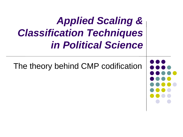# *Applied Scaling & Classification Techniques in Political Science*

The theory behind CMP codification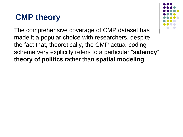

The comprehensive coverage of CMP dataset has made it a popular choice with researchers, despite the fact that, theoretically, the CMP actual coding scheme very explicitly refers to a particular "**saliency**" **theory of politics** rather than **spatial modeling**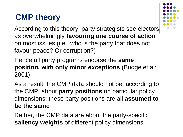

According to this theory, party strategists see electors as overwhelmingly **favouring one course of action**  on most issues (i.e., who is the party that does not favour peace? Or corruption?)

Hence all party programs endorse the **same position, with only minor exceptions** (Budge et al: 2001)

As a result, the CMP data should not be, according to the CMP, about **party positions** on particular policy dimensions; these party positions are all **assumed to be the same**

Rather, the CMP data are about the party-specific **saliency weights** of different policy dimensions.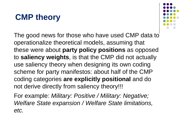

The good news for those who have used CMP data to operationalize theoretical models, assuming that these were about **party policy positions** as opposed to **saliency weights**, is that the CMP did not actually use saliency theory when designing its own coding scheme for party manifestos: about half of the CMP coding categories **are explicitly positional** and do not derive directly from saliency theory!!!

For example: *Military: Positive / Military: Negative; Welfare State expansion / Welfare State limitations, etc.*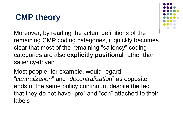

Moreover, by reading the actual definitions of the remaining CMP coding categories, it quickly becomes clear that most of the remaining "saliency" coding categories are also **explicitly positional** rather than saliency-driven

Most people, for example, would regard "*centralization*" and "*decentralization*" as opposite ends of the same policy continuum despite the fact that they do not have "pro" and "con" attached to their labels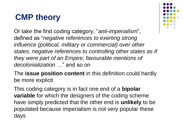Or take the first coding category, "*anti-imperialism*", defined as "*negative references to exerting strong influence (political, military or commercial) over other states; negative references to controlling other states as if they were part of an Empire; favourable mentions of decolonialization …*" and so on

The **issue position content** in this definition could hardly be more explicit

This coding category is in fact one end of a **bipolar variable** for which the designers of the coding scheme have simply predicted that the other end is **unlikely** to be populated because imperialism is not very popular these days